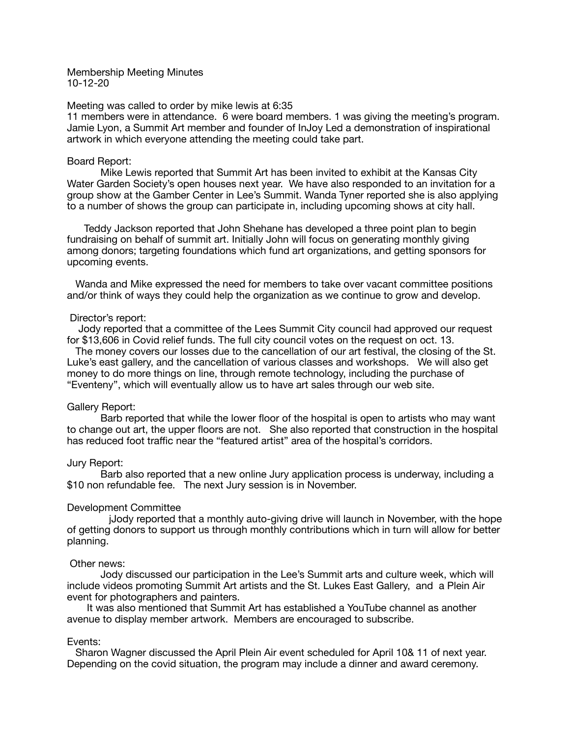Membership Meeting Minutes 10-12-20

### Meeting was called to order by mike lewis at 6:35

11 members were in attendance. 6 were board members. 1 was giving the meeting's program. Jamie Lyon, a Summit Art member and founder of InJoy Led a demonstration of inspirational artwork in which everyone attending the meeting could take part.

## Board Report:

Mike Lewis reported that Summit Art has been invited to exhibit at the Kansas City Water Garden Society's open houses next year. We have also responded to an invitation for a group show at the Gamber Center in Lee's Summit. Wanda Tyner reported she is also applying to a number of shows the group can participate in, including upcoming shows at city hall.

 Teddy Jackson reported that John Shehane has developed a three point plan to begin fundraising on behalf of summit art. Initially John will focus on generating monthly giving among donors; targeting foundations which fund art organizations, and getting sponsors for upcoming events.

 Wanda and Mike expressed the need for members to take over vacant committee positions and/or think of ways they could help the organization as we continue to grow and develop.

### Director's report:

 Jody reported that a committee of the Lees Summit City council had approved our request for \$13,606 in Covid relief funds. The full city council votes on the request on oct. 13.

 The money covers our losses due to the cancellation of our art festival, the closing of the St. Luke's east gallery, and the cancellation of various classes and workshops. We will also get money to do more things on line, through remote technology, including the purchase of "Eventeny", which will eventually allow us to have art sales through our web site.

## Gallery Report:

Barb reported that while the lower floor of the hospital is open to artists who may want to change out art, the upper floors are not. She also reported that construction in the hospital has reduced foot traffic near the "featured artist" area of the hospital's corridors.

### Jury Report:

Barb also reported that a new online Jury application process is underway, including a \$10 non refundable fee. The next Jury session is in November.

## Development Committee

jJody reported that a monthly auto-giving drive will launch in November, with the hope of getting donors to support us through monthly contributions which in turn will allow for better planning.

# Other news:

Jody discussed our participation in the Lee's Summit arts and culture week, which will include videos promoting Summit Art artists and the St. Lukes East Gallery, and a Plein Air event for photographers and painters.

 It was also mentioned that Summit Art has established a YouTube channel as another avenue to display member artwork. Members are encouraged to subscribe.

#### Events:

 Sharon Wagner discussed the April Plein Air event scheduled for April 10& 11 of next year. Depending on the covid situation, the program may include a dinner and award ceremony.